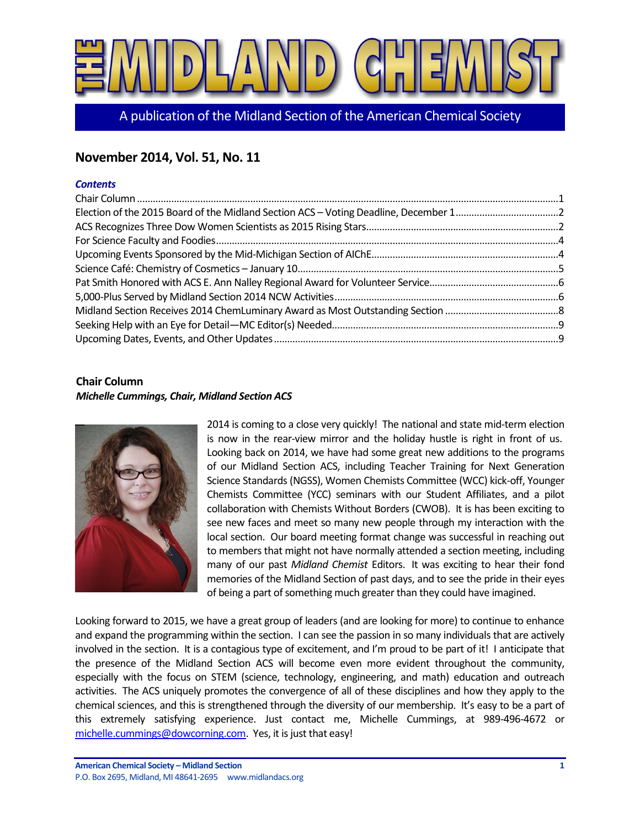

A publication of the Midland Section of the American Chemical Society

# **November 2014, Vol. 51, No. 11**

#### *Contents*

#### <span id="page-0-0"></span>**Chair Column**

#### *Michelle Cummings, Chair, Midland Section ACS*



2014 is coming to a close very quickly! The national and state mid-term election is now in the rear-view mirror and the holiday hustle is right in front of us. Looking back on 2014, we have had some great new additions to the programs of our Midland Section ACS, including Teacher Training for Next Generation Science Standards (NGSS), Women Chemists Committee (WCC) kick-off, Younger Chemists Committee (YCC) seminars with our Student Affiliates, and a pilot collaboration with Chemists Without Borders (CWOB). It is has been exciting to see new faces and meet so many new people through my interaction with the local section. Our board meeting format change was successful in reaching out to members that might not have normally attended a section meeting, including many of our past *Midland Chemist* Editors. It was exciting to hear their fond memories of the Midland Section of past days, and to see the pride in their eyes of being a part of something much greater than they could have imagined.

Looking forward to 2015, we have a great group of leaders (and are looking for more) to continue to enhance and expand the programming within the section. I can see the passion in so many individuals that are actively involved in the section. It is a contagious type of excitement, and I'm proud to be part of it! I anticipate that the presence of the Midland Section ACS will become even more evident throughout the community, especially with the focus on STEM (science, technology, engineering, and math) education and outreach activities. The ACS uniquely promotes the convergence of all of these disciplines and how they apply to the chemical sciences, and this is strengthened through the diversity of our membership. It's easy to be a part of this extremely satisfying experience. Just contact me, Michelle Cummings, at 989-496-4672 or [michelle.cummings@dowcorning.com.](mailto:michelle.cummings@dowcorning.com) Yes, it is just that easy!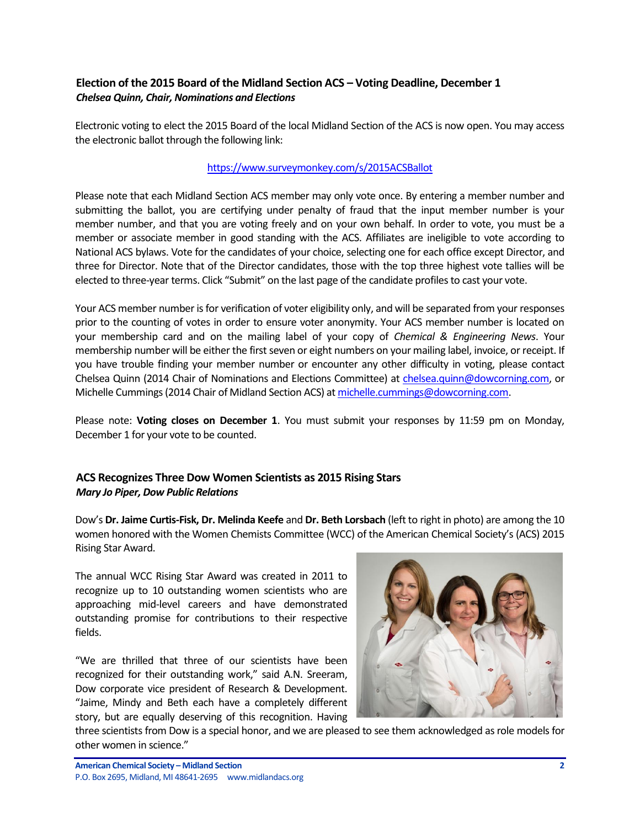### <span id="page-1-0"></span>**Election of the 2015 Board of the Midland Section ACS – Voting Deadline, December 1** *Chelsea Quinn, Chair, Nominations and Elections*

Electronic voting to elect the 2015 Board of the local Midland Section of the ACS is now open. You may access the electronic ballot through the following link:

#### <https://www.surveymonkey.com/s/2015ACSBallot>

Please note that each Midland Section ACS member may only vote once. By entering a member number and submitting the ballot, you are certifying under penalty of fraud that the input member number is your member number, and that you are voting freely and on your own behalf. In order to vote, you must be a member or associate member in good standing with the ACS. Affiliates are ineligible to vote according to National ACS bylaws. Vote for the candidates of your choice, selecting one for each office except Director, and three for Director. Note that of the Director candidates, those with the top three highest vote tallies will be elected to three-year terms. Click "Submit" on the last page of the candidate profiles to cast your vote.

Your ACS member number is for verification of voter eligibility only, and will be separated from your responses prior to the counting of votes in order to ensure voter anonymity. Your ACS member number is located on your membership card and on the mailing label of your copy of *Chemical & Engineering News*. Your membership number will be either the first seven or eight numbers on your mailing label, invoice, or receipt. If you have trouble finding your member number or encounter any other difficulty in voting, please contact Chelsea Quinn (2014 Chair of Nominations and Elections Committee) at [chelsea.quinn@dowcorning.com,](mailto:chelsea.quinn@dowcorning.com) or Michelle Cummings (2014 Chair of Midland Section ACS) a[t michelle.cummings@dowcorning.com.](mailto:michelle.cummings@dowcorning.com)

Please note: **Voting closes on December 1**. You must submit your responses by 11:59 pm on Monday, December 1 for your vote to be counted.

## <span id="page-1-1"></span>**ACS Recognizes Three Dow Women Scientists as 2015 Rising Stars** *Mary Jo Piper, Dow Public Relations*

Dow's **Dr. Jaime Curtis-Fisk, Dr. Melinda Keefe** and **Dr. Beth Lorsbach** (left to right in photo) are among the 10 women honored with the Women Chemists Committee (WCC) of the American Chemical Society's (ACS) 2015 Rising Star Award.

The annual WCC Rising Star Award was created in 2011 to recognize up to 10 outstanding women scientists who are approaching mid-level careers and have demonstrated outstanding promise for contributions to their respective fields.

"We are thrilled that three of our scientists have been recognized for their outstanding work," said A.N. Sreeram, Dow corporate vice president of Research & Development. "Jaime, Mindy and Beth each have a completely different story, but are equally deserving of this recognition. Having



three scientists from Dow is a special honor, and we are pleased to see them acknowledged as role models for other women in science."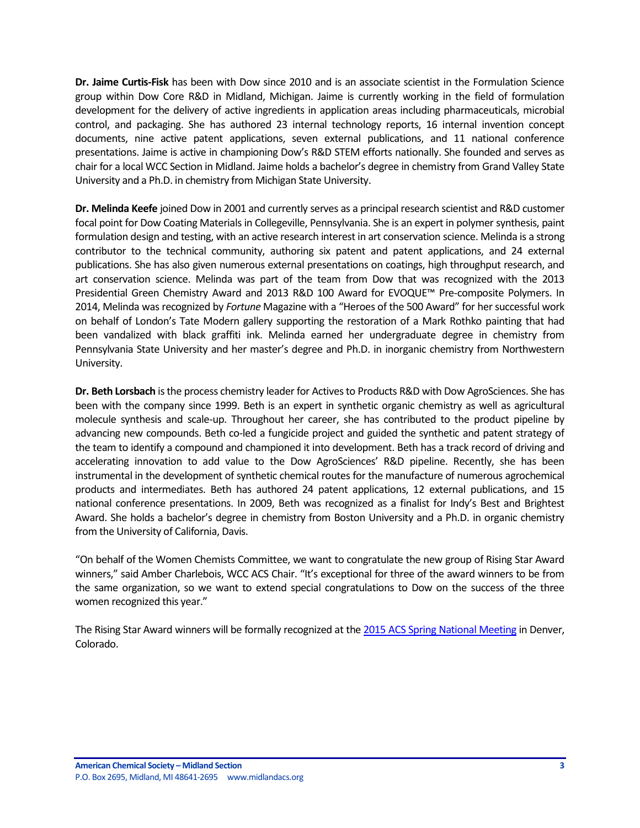**Dr. Jaime Curtis-Fisk** has been with Dow since 2010 and is an associate scientist in the Formulation Science group within Dow Core R&D in Midland, Michigan. Jaime is currently working in the field of formulation development for the delivery of active ingredients in application areas including pharmaceuticals, microbial control, and packaging. She has authored 23 internal technology reports, 16 internal invention concept documents, nine active patent applications, seven external publications, and 11 national conference presentations. Jaime is active in championing Dow's R&D STEM efforts nationally. She founded and serves as chair for a local WCC Section in Midland. Jaime holds a bachelor's degree in chemistry from Grand Valley State University and a Ph.D. in chemistry from Michigan State University.

**Dr. Melinda Keefe** joined Dow in 2001 and currently serves as a principal research scientist and R&D customer focal point for Dow Coating Materials in Collegeville, Pennsylvania. She is an expert in polymer synthesis, paint formulation design and testing, with an active research interest in art conservation science. Melinda is a strong contributor to the technical community, authoring six patent and patent applications, and 24 external publications. She has also given numerous external presentations on coatings, high throughput research, and art conservation science. Melinda was part of the team from Dow that was recognized with the 2013 Presidential Green Chemistry Award and 2013 R&D 100 Award for EVOQUE™ Pre-composite Polymers. In 2014, Melinda was recognized by *Fortune* Magazine with a "Heroes of the 500 Award" for her successful [work](http://coatings.dow.com/en/news-and-events/press-releases/2014/20140513a)  [on behalf of London's Tate Modern gallery supporting the restoration of a Mark Rothko painting](http://coatings.dow.com/en/news-and-events/press-releases/2014/20140513a) that had been vandalized with black graffiti ink. Melinda earned her undergraduate degree in chemistry from Pennsylvania State University and her master's degree and Ph.D. in inorganic chemistry from Northwestern University.

**Dr. Beth Lorsbach** is the process chemistry leader for Actives to Products R&D with Dow AgroSciences. She has been with the company since 1999. Beth is an expert in synthetic organic chemistry as well as agricultural molecule synthesis and scale-up. Throughout her career, she has contributed to the product pipeline by advancing new compounds. Beth co-led a fungicide project and guided the synthetic and patent strategy of the team to identify a compound and championed it into development. Beth has a track record of driving and accelerating innovation to add value to the Dow AgroSciences' R&D pipeline. Recently, she has been instrumental in the development of synthetic chemical routes for the manufacture of numerous agrochemical products and intermediates. Beth has authored 24 patent applications, 12 external publications, and 15 national conference presentations. In 2009, Beth was recognized as a finalist for Indy's Best and Brightest Award. She holds a bachelor's degree in chemistry from Boston University and a Ph.D. in organic chemistry from the University of California, Davis.

"On behalf of the Women Chemists Committee, we want to congratulate the new group of Rising Star Award winners," said Amber Charlebois, WCC ACS Chair. "It's exceptional for three of the award winners to be from the same organization, so we want to extend special congratulations to Dow on the success of the three women recognized this year."

The Rising Star Award winners will be formally recognized at the [2015 ACS Spring National Meeting](http://www.acs.org/content/acs/en/meetings/spring-2015.html) in Denver, Colorado.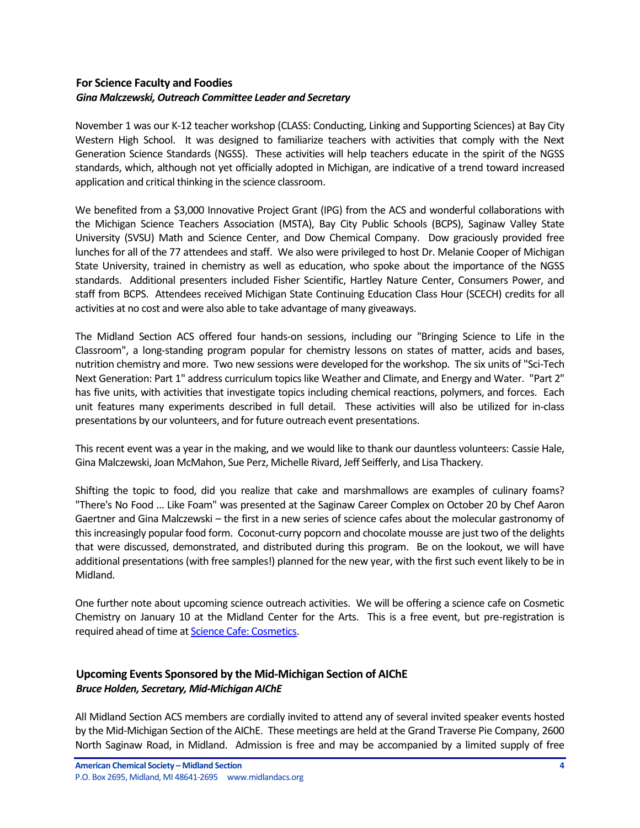#### <span id="page-3-0"></span>**For Science Faculty and Foodies** *Gina Malczewski, Outreach Committee Leader and Secretary*

November 1 was our K-12 teacher workshop (CLASS: Conducting, Linking and Supporting Sciences) at Bay City Western High School. It was designed to familiarize teachers with activities that comply with the Next Generation Science Standards (NGSS). These activities will help teachers educate in the spirit of the NGSS standards, which, although not yet officially adopted in Michigan, are indicative of a trend toward increased application and critical thinking in the science classroom.

We benefited from a \$3,000 Innovative Project Grant (IPG) from the ACS and wonderful collaborations with the Michigan Science Teachers Association (MSTA), Bay City Public Schools (BCPS), Saginaw Valley State University (SVSU) Math and Science Center, and Dow Chemical Company. Dow graciously provided free lunches for all of the 77 attendees and staff. We also were privileged to host Dr. Melanie Cooper of Michigan State University, trained in chemistry as well as education, who spoke about the importance of the NGSS standards. Additional presenters included Fisher Scientific, Hartley Nature Center, Consumers Power, and staff from BCPS. Attendees received Michigan State Continuing Education Class Hour (SCECH) credits for all activities at no cost and were also able to take advantage of many giveaways.

The Midland Section ACS offered four hands-on sessions, including our "Bringing Science to Life in the Classroom", a long-standing program popular for chemistry lessons on states of matter, acids and bases, nutrition chemistry and more. Two new sessions were developed for the workshop. The six units of "Sci-Tech Next Generation: Part 1" address curriculum topics like Weather and Climate, and Energy and Water. "Part 2" has five units, with activities that investigate topics including chemical reactions, polymers, and forces. Each unit features many experiments described in full detail. These activities will also be utilized for in-class presentations by our volunteers, and for future outreach event presentations.

This recent event was a year in the making, and we would like to thank our dauntless volunteers: Cassie Hale, Gina Malczewski, Joan McMahon, Sue Perz, Michelle Rivard, Jeff Seifferly, and Lisa Thackery.

Shifting the topic to food, did you realize that cake and marshmallows are examples of culinary foams? "There's No Food ... Like Foam" was presented at the Saginaw Career Complex on October 20 by Chef Aaron Gaertner and Gina Malczewski – the first in a new series of science cafes about the molecular gastronomy of this increasingly popular food form. Coconut-curry popcorn and chocolate mousse are just two of the delights that were discussed, demonstrated, and distributed during this program. Be on the lookout, we will have additional presentations (with free samples!) planned for the new year, with the first such event likely to be in Midland.

One further note about upcoming science outreach activities. We will be offering a science cafe on Cosmetic Chemistry on January 10 at the Midland Center for the Arts. This is a free event, but pre-registration is required ahead of time a[t Science Cafe: Cosmetics.](https://tickets.mcfta.org/checkout/step-1.aspx?id=19447)

#### <span id="page-3-1"></span>**Upcoming Events Sponsored by the Mid-Michigan Section of AIChE** *Bruce Holden, Secretary, Mid-Michigan AIChE*

All Midland Section ACS members are cordially invited to attend any of several invited speaker events hosted by the Mid-Michigan Section of the AIChE. These meetings are held at the Grand Traverse Pie Company, 2600 North Saginaw Road, in Midland. Admission is free and may be accompanied by a limited supply of free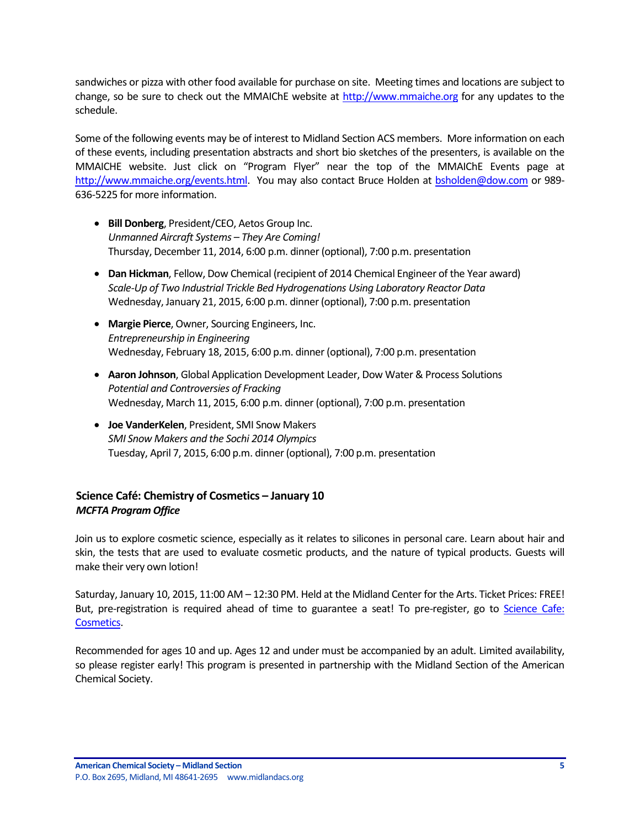sandwiches or pizza with other food available for purchase on site. Meeting times and locations are subject to change, so be sure to check out the MMAIChE website at [http://www.mmaiche.org](http://www.mmaiche.org/) for any updates to the schedule.

Some of the following events may be of interest to Midland Section ACS members. More information on each of these events, including presentation abstracts and short bio sketches of the presenters, is available on the MMAICHE website. Just click on "Program Flyer" near the top of the MMAIChE Events page at [http://www.mmaiche.org/events.html.](http://www.mmaiche.org/events.html) You may also contact Bruce Holden at [bsholden@dow.com](mailto:bsholden@dow.com) or 989- 636-5225 for more information.

- **Bill Donberg**, President/CEO, Aetos Group Inc. *Unmanned Aircraft Systems – They Are Coming!* Thursday, December 11, 2014, 6:00 p.m. dinner (optional), 7:00 p.m. presentation
- **Dan Hickman**, Fellow, Dow Chemical (recipient of 2014 Chemical Engineer of the Year award) *Scale-Up of Two Industrial Trickle Bed Hydrogenations Using Laboratory Reactor Data* Wednesday, January 21, 2015, 6:00 p.m. dinner (optional), 7:00 p.m. presentation
- **Margie Pierce**, Owner, Sourcing Engineers, Inc. *Entrepreneurship in Engineering* Wednesday, February 18, 2015, 6:00 p.m. dinner (optional), 7:00 p.m. presentation
- **Aaron Johnson**, Global Application Development Leader, Dow Water & Process Solutions *Potential and Controversies of Fracking* Wednesday, March 11, 2015, 6:00 p.m. dinner (optional), 7:00 p.m. presentation
- **Joe VanderKelen**, President, SMI Snow Makers *SMI Snow Makers and the Sochi 2014 Olympics* Tuesday, April 7, 2015, 6:00 p.m. dinner (optional), 7:00 p.m. presentation

## <span id="page-4-0"></span>**Science Café: Chemistry of Cosmetics – January 10** *MCFTA Program Office*

Join us to explore cosmetic science, especially as it relates to silicones in personal care. Learn about hair and skin, the tests that are used to evaluate cosmetic products, and the nature of typical products. Guests will make their very own lotion!

Saturday, January 10, 2015, 11:00 AM – 12:30 PM. Held at the Midland Center for the Arts. Ticket Prices: FREE! But, pre-registration is required ahead of time to guarantee a seat! To pre-register, go to Science Cafe: [Cosmetics.](https://tickets.mcfta.org/checkout/step-1.aspx?id=19447)

Recommended for ages 10 and up. Ages 12 and under must be accompanied by an adult. Limited availability, so please register early! This program is presented in partnership with the Midland Section of the American Chemical Society.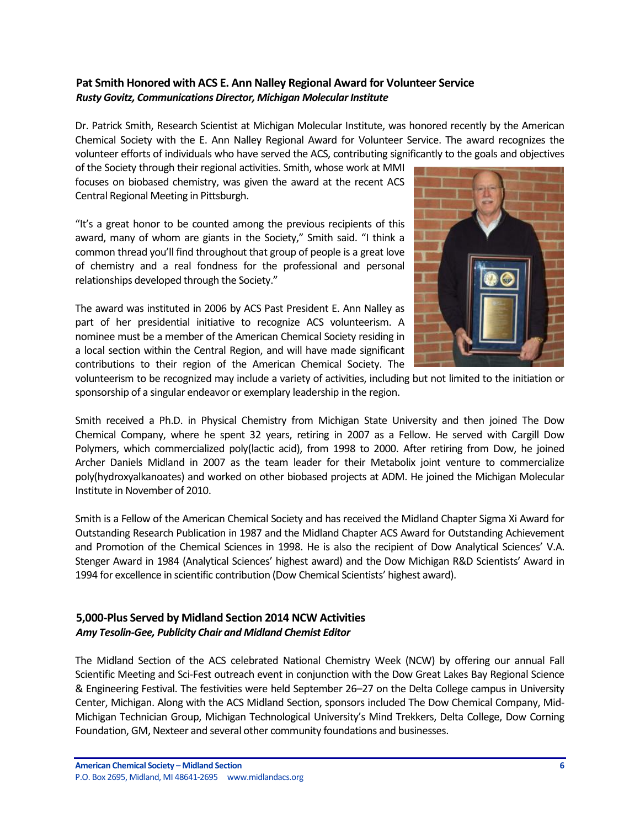#### <span id="page-5-0"></span>**Pat Smith Honored with ACS E. Ann Nalley Regional Award for Volunteer Service** *Rusty Govitz, Communications Director, Michigan Molecular Institute*

Dr. Patrick Smith, Research Scientist at Michigan Molecular Institute, was honored recently by the American Chemical Society with the E. Ann Nalley Regional Award for Volunteer Service. The award recognizes the volunteer efforts of individuals who have served the ACS, contributing significantly to the goals and objectives

of the Society through their regional activities. Smith, whose work at MMI focuses on biobased chemistry, was given the award at the recent ACS Central Regional Meeting in Pittsburgh.

"It's a great honor to be counted among the previous recipients of this award, many of whom are giants in the Society," Smith said. "I think a common thread you'll find throughout that group of people is a great love of chemistry and a real fondness for the professional and personal relationships developed through the Society."

The award was instituted in 2006 by ACS Past President E. Ann Nalley as part of her presidential initiative to recognize ACS volunteerism. A nominee must be a member of the American Chemical Society residing in a local section within the Central Region, and will have made significant contributions to their region of the American Chemical Society. The



volunteerism to be recognized may include a variety of activities, including but not limited to the initiation or sponsorship of a singular endeavor or exemplary leadership in the region.

Smith received a Ph.D. in Physical Chemistry from Michigan State University and then joined The Dow Chemical Company, where he spent 32 years, retiring in 2007 as a Fellow. He served with Cargill Dow Polymers, which commercialized poly(lactic acid), from 1998 to 2000. After retiring from Dow, he joined Archer Daniels Midland in 2007 as the team leader for their Metabolix joint venture to commercialize poly(hydroxyalkanoates) and worked on other biobased projects at ADM. He joined the Michigan Molecular Institute in November of 2010.

Smith is a Fellow of the American Chemical Society and has received the Midland Chapter Sigma Xi Award for Outstanding Research Publication in 1987 and the Midland Chapter ACS Award for Outstanding Achievement and Promotion of the Chemical Sciences in 1998. He is also the recipient of Dow Analytical Sciences' V.A. Stenger Award in 1984 (Analytical Sciences' highest award) and the Dow Michigan R&D Scientists' Award in 1994 for excellence in scientific contribution (Dow Chemical Scientists' highest award).

#### <span id="page-5-1"></span>**5,000-Plus Served by Midland Section 2014 NCW Activities** *Amy Tesolin-Gee, Publicity Chair and Midland Chemist Editor*

The Midland Section of the ACS celebrated National Chemistry Week (NCW) by offering our annual Fall Scientific Meeting and Sci-Fest outreach event in conjunction with the Dow Great Lakes Bay Regional Science & Engineering Festival. The festivities were held September 26–27 on the Delta College campus in University Center, Michigan. Along with the ACS Midland Section, sponsors included The Dow Chemical Company, Mid-Michigan Technician Group, Michigan Technological University's Mind Trekkers, Delta College, Dow Corning Foundation, GM, Nexteer and several other community foundations and businesses.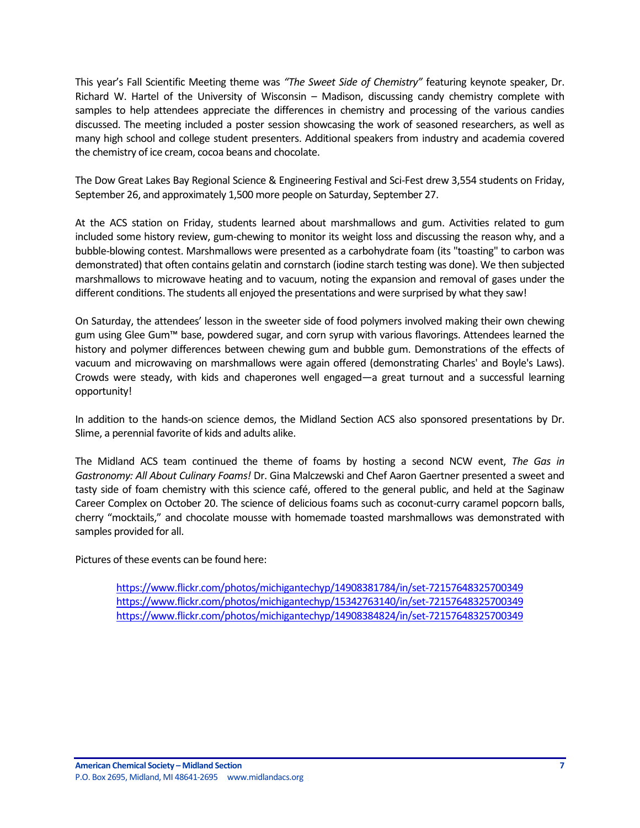This year's Fall Scientific Meeting theme was *"The Sweet Side of Chemistry"* featuring keynote speaker, Dr. Richard W. Hartel of the University of Wisconsin – Madison, discussing candy chemistry complete with samples to help attendees appreciate the differences in chemistry and processing of the various candies discussed. The meeting included a poster session showcasing the work of seasoned researchers, as well as many high school and college student presenters. Additional speakers from industry and academia covered the chemistry of ice cream, cocoa beans and chocolate.

The Dow Great Lakes Bay Regional Science & Engineering Festival and Sci-Fest drew 3,554 students on Friday, September 26, and approximately 1,500 more people on Saturday, September 27.

At the ACS station on Friday, students learned about marshmallows and gum. Activities related to gum included some history review, gum-chewing to monitor its weight loss and discussing the reason why, and a bubble-blowing contest. Marshmallows were presented as a carbohydrate foam (its "toasting" to carbon was demonstrated) that often contains gelatin and cornstarch (iodine starch testing was done). We then subjected marshmallows to microwave heating and to vacuum, noting the expansion and removal of gases under the different conditions. The students all enjoyed the presentations and were surprised by what they saw!

On Saturday, the attendees' lesson in the sweeter side of food polymers involved making their own chewing gum using Glee Gum™ base, powdered sugar, and corn syrup with various flavorings. Attendees learned the history and polymer differences between chewing gum and bubble gum. Demonstrations of the effects of vacuum and microwaving on marshmallows were again offered (demonstrating Charles' and Boyle's Laws). Crowds were steady, with kids and chaperones well engaged—a great turnout and a successful learning opportunity!

In addition to the hands-on science demos, the Midland Section ACS also sponsored presentations by Dr. Slime, a perennial favorite of kids and adults alike.

The Midland ACS team continued the theme of foams by hosting a second NCW event, *The Gas in Gastronomy: All About Culinary Foams!* Dr. Gina Malczewski and Chef Aaron Gaertner presented a sweet and tasty side of foam chemistry with this science café, offered to the general public, and held at the Saginaw Career Complex on October 20. The science of delicious foams such as coconut-curry caramel popcorn balls, cherry "mocktails," and chocolate mousse with homemade toasted marshmallows was demonstrated with samples provided for all.

Pictures of these events can be found here:

<https://www.flickr.com/photos/michigantechyp/14908381784/in/set-72157648325700349> <https://www.flickr.com/photos/michigantechyp/15342763140/in/set-72157648325700349> <https://www.flickr.com/photos/michigantechyp/14908384824/in/set-72157648325700349>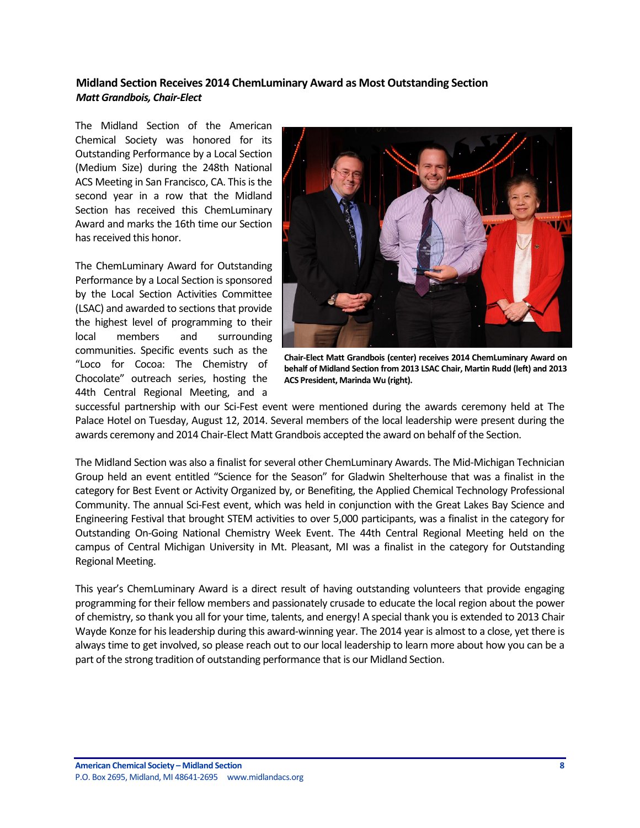#### <span id="page-7-0"></span>**Midland Section Receives 2014 ChemLuminary Award as Most Outstanding Section** *Matt Grandbois, Chair-Elect*

The Midland Section of the American Chemical Society was honored for its Outstanding Performance by a Local Section (Medium Size) during the 248th National ACS Meeting in San Francisco, CA. This is the second year in a row that the Midland Section has received this ChemLuminary Award and marks the 16th time our Section has received this honor.

The ChemLuminary Award for Outstanding Performance by a Local Section is sponsored by the Local Section Activities Committee (LSAC) and awarded to sections that provide the highest level of programming to their local members and surrounding communities. Specific events such as the "Loco for Cocoa: The Chemistry of Chocolate" outreach series, hosting the 44th Central Regional Meeting, and a



**Chair-Elect Matt Grandbois (center) receives 2014 ChemLuminary Award on behalf of Midland Section from 2013 LSAC Chair, Martin Rudd (left) and 2013 ACS President, Marinda Wu (right).**

successful partnership with our Sci-Fest event were mentioned during the awards ceremony held at The Palace Hotel on Tuesday, August 12, 2014. Several members of the local leadership were present during the awards ceremony and 2014 Chair-Elect Matt Grandbois accepted the award on behalf of the Section.

The Midland Section was also a finalist for several other ChemLuminary Awards. The Mid-Michigan Technician Group held an event entitled "Science for the Season" for Gladwin Shelterhouse that was a finalist in the category for Best Event or Activity Organized by, or Benefiting, the Applied Chemical Technology Professional Community. The annual Sci-Fest event, which was held in conjunction with the Great Lakes Bay Science and Engineering Festival that brought STEM activities to over 5,000 participants, was a finalist in the category for Outstanding On-Going National Chemistry Week Event. The 44th Central Regional Meeting held on the campus of Central Michigan University in Mt. Pleasant, MI was a finalist in the category for Outstanding Regional Meeting.

This year's ChemLuminary Award is a direct result of having outstanding volunteers that provide engaging programming for their fellow members and passionately crusade to educate the local region about the power of chemistry, so thank you all for your time, talents, and energy! A special thank you is extended to 2013 Chair Wayde Konze for his leadership during this award-winning year. The 2014 year is almost to a close, yet there is always time to get involved, so please reach out to our local leadership to learn more about how you can be a part of the strong tradition of outstanding performance that is our Midland Section.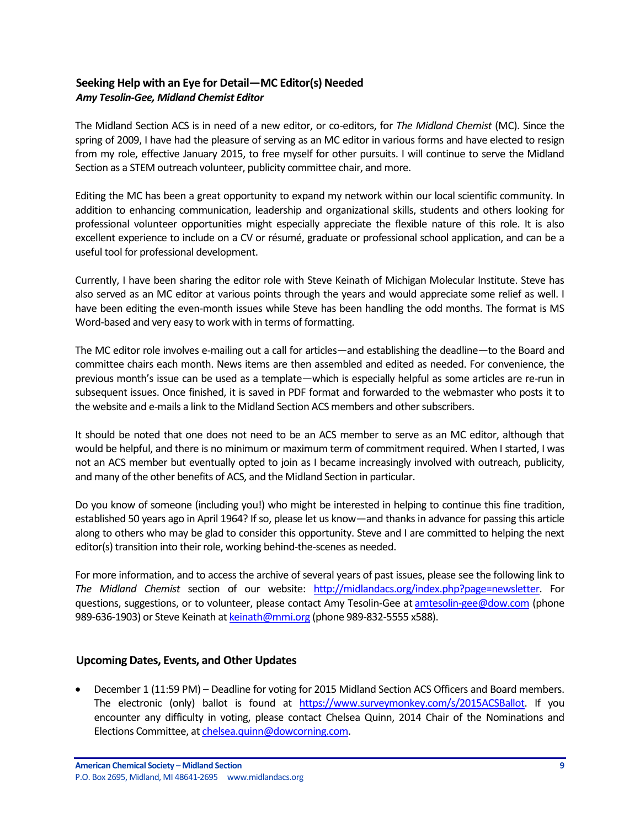### <span id="page-8-0"></span>**Seeking Help with an Eye for Detail—MC Editor(s) Needed** *Amy Tesolin-Gee, Midland Chemist Editor*

The Midland Section ACS is in need of a new editor, or co-editors, for *The Midland Chemist* (MC). Since the spring of 2009, I have had the pleasure of serving as an MC editor in various forms and have elected to resign from my role, effective January 2015, to free myself for other pursuits. I will continue to serve the Midland Section as a STEM outreach volunteer, publicity committee chair, and more.

Editing the MC has been a great opportunity to expand my network within our local scientific community. In addition to enhancing communication, leadership and organizational skills, students and others looking for professional volunteer opportunities might especially appreciate the flexible nature of this role. It is also excellent experience to include on a CV or résumé, graduate or professional school application, and can be a useful tool for professional development.

Currently, I have been sharing the editor role with Steve Keinath of Michigan Molecular Institute. Steve has also served as an MC editor at various points through the years and would appreciate some relief as well. I have been editing the even-month issues while Steve has been handling the odd months. The format is MS Word-based and very easy to work with in terms of formatting.

The MC editor role involves e-mailing out a call for articles—and establishing the deadline—to the Board and committee chairs each month. News items are then assembled and edited as needed. For convenience, the previous month's issue can be used as a template—which is especially helpful as some articles are re-run in subsequent issues. Once finished, it is saved in PDF format and forwarded to the webmaster who posts it to the website and e-mails a link to the Midland Section ACS members and other subscribers.

It should be noted that one does not need to be an ACS member to serve as an MC editor, although that would be helpful, and there is no minimum or maximum term of commitment required. When I started, I was not an ACS member but eventually opted to join as I became increasingly involved with outreach, publicity, and many of the other benefits of ACS, and the Midland Section in particular.

Do you know of someone (including you!) who might be interested in helping to continue this fine tradition, established 50 years ago in April 1964? If so, please let us know—and thanks in advance for passing this article along to others who may be glad to consider this opportunity. Steve and I are committed to helping the next editor(s) transition into their role, working behind-the-scenes as needed.

For more information, and to access the archive of several years of past issues, please see the following link to *The Midland Chemist* section of our website: [http://midlandacs.org/index.php?page=newsletter.](http://midlandacs.org/index.php?page=newsletter) For questions, suggestions, or to volunteer, please contact Amy Tesolin-Gee at [amtesolin-gee@dow.com](mailto:amtesolin-gee@dow.com) (phone 989-636-1903) or Steve Keinath a[t keinath@mmi.org](mailto:keinath@mmi.org) (phone 989-832-5555 x588).

#### <span id="page-8-1"></span>**Upcoming Dates, Events, and Other Updates**

 December 1 (11:59 PM) – Deadline for voting for 2015 Midland Section ACS Officers and Board members. The electronic (only) ballot is found at [https://www.surveymonkey.com/s/2015ACSBallot.](https://www.surveymonkey.com/s/2015ACSBallot) If you encounter any difficulty in voting, please contact Chelsea Quinn, 2014 Chair of the Nominations and Elections Committee, a[t chelsea.quinn@dowcorning.com.](mailto:chelsea.quinn@dowcorning.com)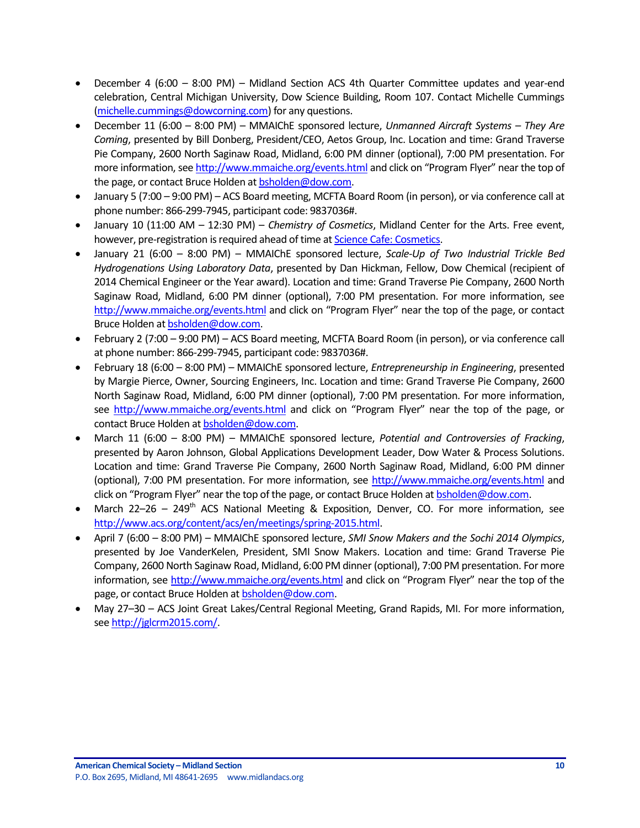- December 4 (6:00 8:00 PM) Midland Section ACS 4th Quarter Committee updates and year-end celebration, Central Michigan University, Dow Science Building, Room 107. Contact Michelle Cummings [\(michelle.cummings@dowcorning.com\)](mailto:michelle.cummings@dowcorning.com) for any questions.
- December 11 (6:00 8:00 PM) MMAIChE sponsored lecture, *Unmanned Aircraft Systems – They Are Coming*, presented by Bill Donberg, President/CEO, Aetos Group, Inc. Location and time: Grand Traverse Pie Company, 2600 North Saginaw Road, Midland, 6:00 PM dinner (optional), 7:00 PM presentation. For more information, se[e http://www.mmaiche.org/events.html](http://www.mmaiche.org/events.html) and click on "Program Flyer" near the top of the page, or contact Bruce Holden a[t bsholden@dow.com.](mailto:bsholden@dow.com)
- January 5 (7:00 9:00 PM) ACS Board meeting, MCFTA Board Room (in person), or via conference call at phone number: 866-299-7945, participant code: 9837036#.
- January 10 (11:00 AM 12:30 PM) *Chemistry of Cosmetics*, Midland Center for the Arts. Free event, however, pre-registration is required ahead of time a[t Science Cafe: Cosmetics.](https://tickets.mcfta.org/checkout/step-1.aspx?id=19447)
- January 21 (6:00 8:00 PM) MMAIChE sponsored lecture, *Scale-Up of Two Industrial Trickle Bed Hydrogenations Using Laboratory Data*, presented by Dan Hickman, Fellow, Dow Chemical (recipient of 2014 Chemical Engineer or the Year award). Location and time: Grand Traverse Pie Company, 2600 North Saginaw Road, Midland, 6:00 PM dinner (optional), 7:00 PM presentation. For more information, see <http://www.mmaiche.org/events.html> and click on "Program Flyer" near the top of the page, or contact Bruce Holden a[t bsholden@dow.com.](mailto:bsholden@dow.com)
- February 2 (7:00 9:00 PM) ACS Board meeting, MCFTA Board Room (in person), or via conference call at phone number: 866-299-7945, participant code: 9837036#.
- February 18 (6:00 8:00 PM) MMAIChE sponsored lecture, *Entrepreneurship in Engineering*, presented by Margie Pierce, Owner, Sourcing Engineers, Inc. Location and time: Grand Traverse Pie Company, 2600 North Saginaw Road, Midland, 6:00 PM dinner (optional), 7:00 PM presentation. For more information, see<http://www.mmaiche.org/events.html> and click on "Program Flyer" near the top of the page, or contact Bruce Holden a[t bsholden@dow.com.](mailto:bsholden@dow.com)
- March 11 (6:00 8:00 PM) MMAIChE sponsored lecture, *Potential and Controversies of Fracking*, presented by Aaron Johnson, Global Applications Development Leader, Dow Water & Process Solutions. Location and time: Grand Traverse Pie Company, 2600 North Saginaw Road, Midland, 6:00 PM dinner (optional), 7:00 PM presentation. For more information, see<http://www.mmaiche.org/events.html> and click on "Program Flyer" near the top of the page, or contact Bruce Holden at [bsholden@dow.com.](mailto:bsholden@dow.com)
- March 22–26 249<sup>th</sup> ACS National Meeting & Exposition, Denver, CO. For more information, see [http://www.acs.org/content/acs/en/meetings/spring-2015.html.](http://www.acs.org/content/acs/en/meetings/spring-2015.html)
- April 7 (6:00 8:00 PM) MMAIChE sponsored lecture, *SMI Snow Makers and the Sochi 2014 Olympics*, presented by Joe VanderKelen, President, SMI Snow Makers. Location and time: Grand Traverse Pie Company, 2600 North Saginaw Road, Midland, 6:00 PM dinner (optional), 7:00 PM presentation. For more information, see<http://www.mmaiche.org/events.html> and click on "Program Flyer" near the top of the page, or contact Bruce Holden a[t bsholden@dow.com.](mailto:bsholden@dow.com)
- May 27–30 ACS Joint Great Lakes/Central Regional Meeting, Grand Rapids, MI. For more information, se[e http://jglcrm2015.com/.](http://jglcrm2015.com/)